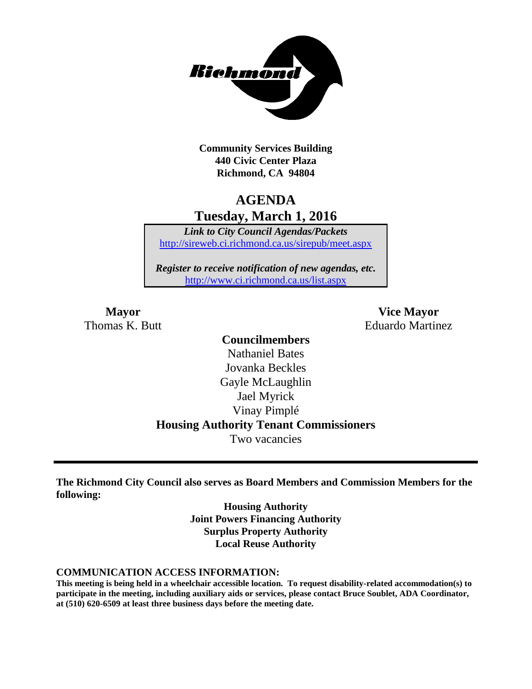

**Community Services Building 440 Civic Center Plaza Richmond, CA 94804**

# **AGENDA Tuesday, March 1, 2016**

*Link to City Council Agendas/Packets* <http://sireweb.ci.richmond.ca.us/sirepub/meet.aspx>

*Register to receive notification of new agendas, etc.* <http://www.ci.richmond.ca.us/list.aspx>

**Mayor Vice Mayor** Thomas K. Butt **Eduardo Martinez** 

## **Councilmembers** Nathaniel Bates Jovanka Beckles Gayle McLaughlin Jael Myrick Vinay Pimplé **Housing Authority Tenant Commissioners** Two vacancies

**The Richmond City Council also serves as Board Members and Commission Members for the following:**

> **Housing Authority Joint Powers Financing Authority Surplus Property Authority Local Reuse Authority**

#### **COMMUNICATION ACCESS INFORMATION:**

**This meeting is being held in a wheelchair accessible location. To request disability-related accommodation(s) to participate in the meeting, including auxiliary aids or services, please contact Bruce Soublet, ADA Coordinator, at (510) 620-6509 at least three business days before the meeting date.**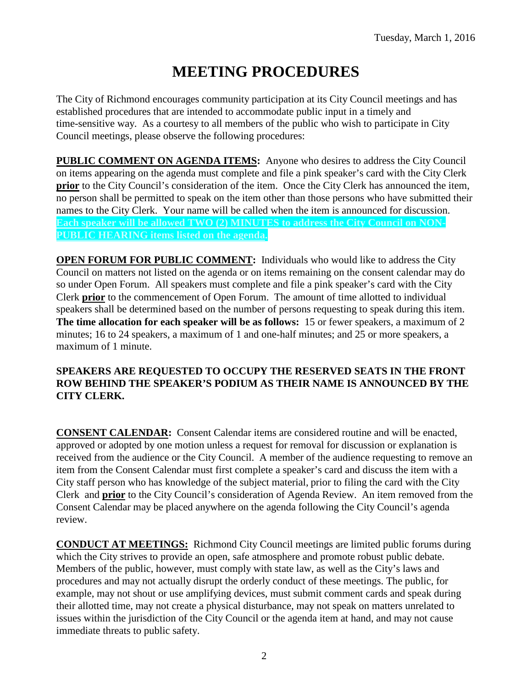# **MEETING PROCEDURES**

The City of Richmond encourages community participation at its City Council meetings and has established procedures that are intended to accommodate public input in a timely and time-sensitive way. As a courtesy to all members of the public who wish to participate in City Council meetings, please observe the following procedures:

**PUBLIC COMMENT ON AGENDA ITEMS:** Anyone who desires to address the City Council on items appearing on the agenda must complete and file a pink speaker's card with the City Clerk **prior** to the City Council's consideration of the item. Once the City Clerk has announced the item, no person shall be permitted to speak on the item other than those persons who have submitted their names to the City Clerk. Your name will be called when the item is announced for discussion. **Each speaker will be allowed TWO (2) MINUTES to address the City Council on NON-PUBLIC HEARING items listed on the agenda.**

**OPEN FORUM FOR PUBLIC COMMENT:** Individuals who would like to address the City Council on matters not listed on the agenda or on items remaining on the consent calendar may do so under Open Forum. All speakers must complete and file a pink speaker's card with the City Clerk **prior** to the commencement of Open Forum. The amount of time allotted to individual speakers shall be determined based on the number of persons requesting to speak during this item. **The time allocation for each speaker will be as follows:** 15 or fewer speakers, a maximum of 2 minutes; 16 to 24 speakers, a maximum of 1 and one-half minutes; and 25 or more speakers, a maximum of 1 minute.

### **SPEAKERS ARE REQUESTED TO OCCUPY THE RESERVED SEATS IN THE FRONT ROW BEHIND THE SPEAKER'S PODIUM AS THEIR NAME IS ANNOUNCED BY THE CITY CLERK.**

**CONSENT CALENDAR:** Consent Calendar items are considered routine and will be enacted, approved or adopted by one motion unless a request for removal for discussion or explanation is received from the audience or the City Council. A member of the audience requesting to remove an item from the Consent Calendar must first complete a speaker's card and discuss the item with a City staff person who has knowledge of the subject material, prior to filing the card with the City Clerk and **prior** to the City Council's consideration of Agenda Review. An item removed from the Consent Calendar may be placed anywhere on the agenda following the City Council's agenda review.

**CONDUCT AT MEETINGS:** Richmond City Council meetings are limited public forums during which the City strives to provide an open, safe atmosphere and promote robust public debate. Members of the public, however, must comply with state law, as well as the City's laws and procedures and may not actually disrupt the orderly conduct of these meetings. The public, for example, may not shout or use amplifying devices, must submit comment cards and speak during their allotted time, may not create a physical disturbance, may not speak on matters unrelated to issues within the jurisdiction of the City Council or the agenda item at hand, and may not cause immediate threats to public safety.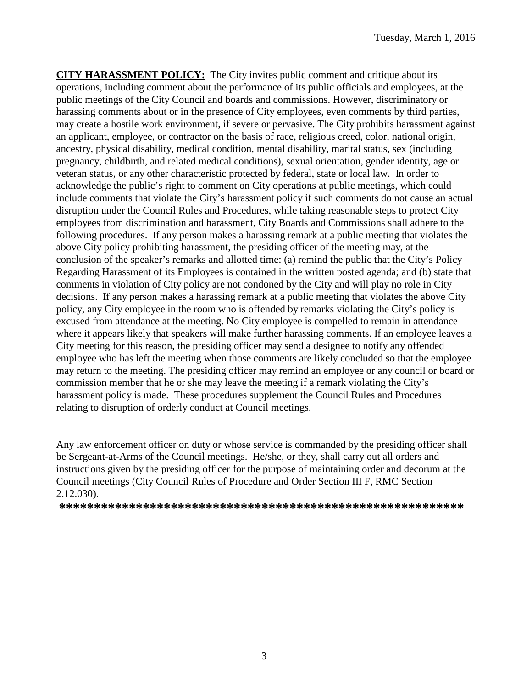**CITY HARASSMENT POLICY:** The City invites public comment and critique about its operations, including comment about the performance of its public officials and employees, at the public meetings of the City Council and boards and commissions. However, discriminatory or harassing comments about or in the presence of City employees, even comments by third parties, may create a hostile work environment, if severe or pervasive. The City prohibits harassment against an applicant, employee, or contractor on the basis of race, religious creed, color, national origin, ancestry, physical disability, medical condition, mental disability, marital status, sex (including pregnancy, childbirth, and related medical conditions), sexual orientation, gender identity, age or veteran status, or any other characteristic protected by federal, state or local law. In order to acknowledge the public's right to comment on City operations at public meetings, which could include comments that violate the City's harassment policy if such comments do not cause an actual disruption under the Council Rules and Procedures, while taking reasonable steps to protect City employees from discrimination and harassment, City Boards and Commissions shall adhere to the following procedures. If any person makes a harassing remark at a public meeting that violates the above City policy prohibiting harassment, the presiding officer of the meeting may, at the conclusion of the speaker's remarks and allotted time: (a) remind the public that the City's Policy Regarding Harassment of its Employees is contained in the written posted agenda; and (b) state that comments in violation of City policy are not condoned by the City and will play no role in City decisions. If any person makes a harassing remark at a public meeting that violates the above City policy, any City employee in the room who is offended by remarks violating the City's policy is excused from attendance at the meeting. No City employee is compelled to remain in attendance where it appears likely that speakers will make further harassing comments. If an employee leaves a City meeting for this reason, the presiding officer may send a designee to notify any offended employee who has left the meeting when those comments are likely concluded so that the employee may return to the meeting. The presiding officer may remind an employee or any council or board or commission member that he or she may leave the meeting if a remark violating the City's harassment policy is made. These procedures supplement the Council Rules and Procedures relating to disruption of orderly conduct at Council meetings.

Any law enforcement officer on duty or whose service is commanded by the presiding officer shall be Sergeant-at-Arms of the Council meetings. He/she, or they, shall carry out all orders and instructions given by the presiding officer for the purpose of maintaining order and decorum at the Council meetings (City Council Rules of Procedure and Order Section III F, RMC Section 2.12.030).

**\*\*\*\*\*\*\*\*\*\*\*\*\*\*\*\*\*\*\*\*\*\*\*\*\*\*\*\*\*\*\*\*\*\*\*\*\*\*\*\*\*\*\*\*\*\*\*\*\*\*\*\*\*\*\*\*\*\***

3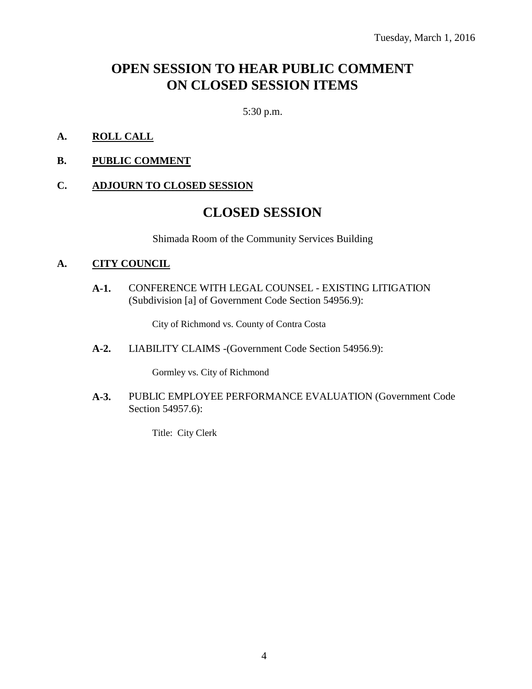# **OPEN SESSION TO HEAR PUBLIC COMMENT ON CLOSED SESSION ITEMS**

5:30 p.m.

- **A. ROLL CALL**
- **B. PUBLIC COMMENT**

#### **C. ADJOURN TO CLOSED SESSION**

### **CLOSED SESSION**

Shimada Room of the Community Services Building

#### **A. CITY COUNCIL**

**A-1.** CONFERENCE WITH LEGAL COUNSEL - EXISTING LITIGATION (Subdivision [a] of Government Code Section 54956.9):

City of Richmond vs. County of Contra Costa

**A-2.** LIABILITY CLAIMS -(Government Code Section 54956.9):

Gormley vs. City of Richmond

**A-3.** PUBLIC EMPLOYEE PERFORMANCE EVALUATION (Government Code Section 54957.6):

Title: City Clerk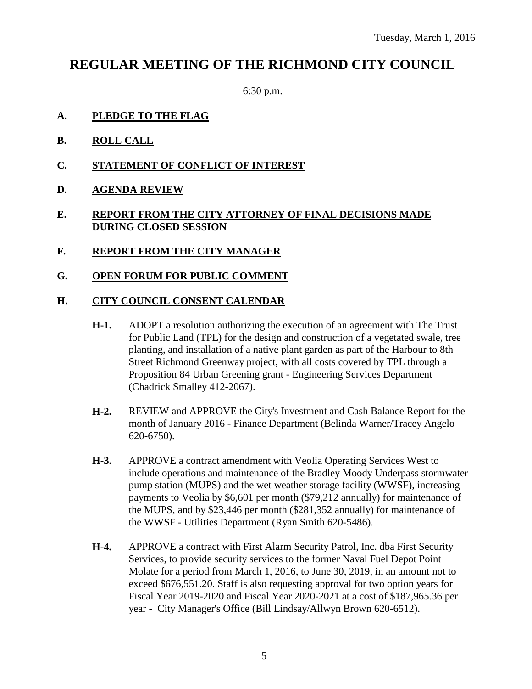# **REGULAR MEETING OF THE RICHMOND CITY COUNCIL**

6:30 p.m.

- **A. PLEDGE TO THE FLAG**
- **B. ROLL CALL**
- **C. STATEMENT OF CONFLICT OF INTEREST**
- **D. AGENDA REVIEW**

### **E. REPORT FROM THE CITY ATTORNEY OF FINAL DECISIONS MADE DURING CLOSED SESSION**

- **F. REPORT FROM THE CITY MANAGER**
- **G. OPEN FORUM FOR PUBLIC COMMENT**

### **H. CITY COUNCIL CONSENT CALENDAR**

- **H-1.** ADOPT a resolution authorizing the execution of an agreement with The Trust for Public Land (TPL) for the design and construction of a vegetated swale, tree planting, and installation of a native plant garden as part of the Harbour to 8th Street Richmond Greenway project, with all costs covered by TPL through a Proposition 84 Urban Greening grant - Engineering Services Department (Chadrick Smalley 412-2067).
- **H-2.** REVIEW and APPROVE the City's Investment and Cash Balance Report for the month of January 2016 - Finance Department (Belinda Warner/Tracey Angelo 620-6750).
- **H-3.** APPROVE a contract amendment with Veolia Operating Services West to include operations and maintenance of the Bradley Moody Underpass stormwater pump station (MUPS) and the wet weather storage facility (WWSF), increasing payments to Veolia by \$6,601 per month (\$79,212 annually) for maintenance of the MUPS, and by \$23,446 per month (\$281,352 annually) for maintenance of the WWSF - Utilities Department (Ryan Smith 620-5486).
- **H-4.** APPROVE a contract with First Alarm Security Patrol, Inc. dba First Security Services, to provide security services to the former Naval Fuel Depot Point Molate for a period from March 1, 2016, to June 30, 2019, in an amount not to exceed \$676,551.20. Staff is also requesting approval for two option years for Fiscal Year 2019-2020 and Fiscal Year 2020-2021 at a cost of \$187,965.36 per year - City Manager's Office (Bill Lindsay/Allwyn Brown 620-6512).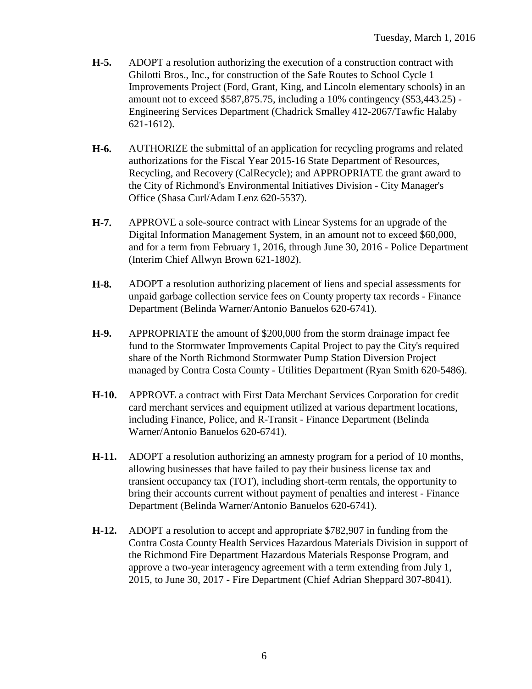- **H-5.** ADOPT a resolution authorizing the execution of a construction contract with Ghilotti Bros., Inc., for construction of the Safe Routes to School Cycle 1 Improvements Project (Ford, Grant, King, and Lincoln elementary schools) in an amount not to exceed \$587,875.75, including a 10% contingency (\$53,443.25) - Engineering Services Department (Chadrick Smalley 412-2067/Tawfic Halaby 621-1612).
- **H-6.** AUTHORIZE the submittal of an application for recycling programs and related authorizations for the Fiscal Year 2015-16 State Department of Resources, Recycling, and Recovery (CalRecycle); and APPROPRIATE the grant award to the City of Richmond's Environmental Initiatives Division - City Manager's Office (Shasa Curl/Adam Lenz 620-5537).
- **H-7.** APPROVE a sole-source contract with Linear Systems for an upgrade of the Digital Information Management System, in an amount not to exceed \$60,000, and for a term from February 1, 2016, through June 30, 2016 - Police Department (Interim Chief Allwyn Brown 621-1802).
- **H-8.** ADOPT a resolution authorizing placement of liens and special assessments for unpaid garbage collection service fees on County property tax records - Finance Department (Belinda Warner/Antonio Banuelos 620-6741).
- **H-9.** APPROPRIATE the amount of \$200,000 from the storm drainage impact fee fund to the Stormwater Improvements Capital Project to pay the City's required share of the North Richmond Stormwater Pump Station Diversion Project managed by Contra Costa County - Utilities Department (Ryan Smith 620-5486).
- **H-10.** APPROVE a contract with First Data Merchant Services Corporation for credit card merchant services and equipment utilized at various department locations, including Finance, Police, and R-Transit - Finance Department (Belinda Warner/Antonio Banuelos 620-6741).
- **H-11.** ADOPT a resolution authorizing an amnesty program for a period of 10 months, allowing businesses that have failed to pay their business license tax and transient occupancy tax (TOT), including short-term rentals, the opportunity to bring their accounts current without payment of penalties and interest - Finance Department (Belinda Warner/Antonio Banuelos 620-6741).
- **H-12.** ADOPT a resolution to accept and appropriate \$782,907 in funding from the Contra Costa County Health Services Hazardous Materials Division in support of the Richmond Fire Department Hazardous Materials Response Program, and approve a two-year interagency agreement with a term extending from July 1, 2015, to June 30, 2017 - Fire Department (Chief Adrian Sheppard 307-8041).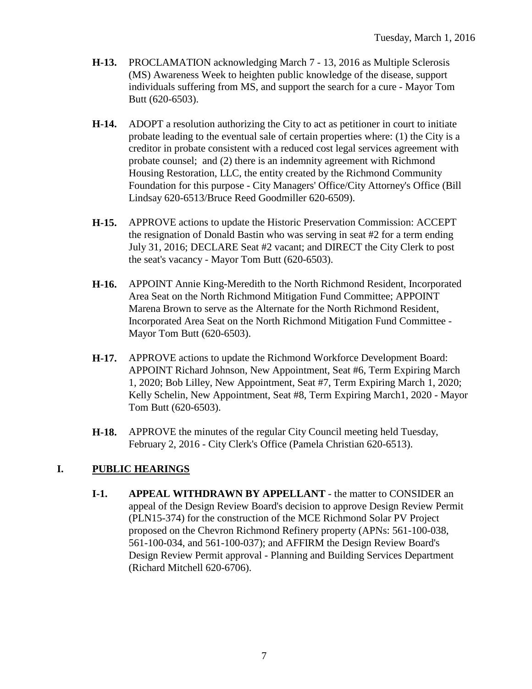- **H-13.** PROCLAMATION acknowledging March 7 13, 2016 as Multiple Sclerosis (MS) Awareness Week to heighten public knowledge of the disease, support individuals suffering from MS, and support the search for a cure - Mayor Tom Butt (620-6503).
- **H-14.** ADOPT a resolution authorizing the City to act as petitioner in court to initiate probate leading to the eventual sale of certain properties where: (1) the City is a creditor in probate consistent with a reduced cost legal services agreement with probate counsel; and (2) there is an indemnity agreement with Richmond Housing Restoration, LLC, the entity created by the Richmond Community Foundation for this purpose - City Managers' Office/City Attorney's Office (Bill Lindsay 620-6513/Bruce Reed Goodmiller 620-6509).
- **H-15.** APPROVE actions to update the Historic Preservation Commission: ACCEPT the resignation of Donald Bastin who was serving in seat #2 for a term ending July 31, 2016; DECLARE Seat #2 vacant; and DIRECT the City Clerk to post the seat's vacancy - Mayor Tom Butt (620-6503).
- **H-16.** APPOINT Annie King-Meredith to the North Richmond Resident, Incorporated Area Seat on the North Richmond Mitigation Fund Committee; APPOINT Marena Brown to serve as the Alternate for the North Richmond Resident, Incorporated Area Seat on the North Richmond Mitigation Fund Committee - Mayor Tom Butt (620-6503).
- **H-17.** APPROVE actions to update the Richmond Workforce Development Board: APPOINT Richard Johnson, New Appointment, Seat #6, Term Expiring March 1, 2020; Bob Lilley, New Appointment, Seat #7, Term Expiring March 1, 2020; Kelly Schelin, New Appointment, Seat #8, Term Expiring March1, 2020 - Mayor Tom Butt (620-6503).
- **H-18.** APPROVE the minutes of the regular City Council meeting held Tuesday, February 2, 2016 - City Clerk's Office (Pamela Christian 620-6513).

### **I. PUBLIC HEARINGS**

**I-1. APPEAL WITHDRAWN BY APPELLANT** - the matter to CONSIDER an appeal of the Design Review Board's decision to approve Design Review Permit (PLN15-374) for the construction of the MCE Richmond Solar PV Project proposed on the Chevron Richmond Refinery property (APNs: 561-100-038, 561-100-034, and 561-100-037); and AFFIRM the Design Review Board's Design Review Permit approval - Planning and Building Services Department (Richard Mitchell 620-6706).